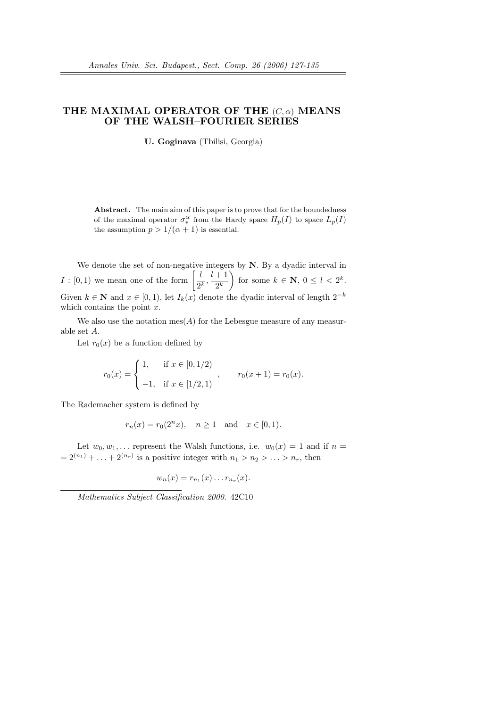## THE MAXIMAL OPERATOR OF THE  $(C, \alpha)$  MEANS OF THE WALSH–FOURIER SERIES

U. Goginava (Tbilisi, Georgia)

Abstract. The main aim of this paper is to prove that for the boundedness of the maximal operator  $\sigma_*^{\alpha}$  from the Hardy space  $H_p(I)$  to space  $L_p(I)$ the assumption  $p > 1/(\alpha + 1)$  is essential.

We denote the set of non-negative integers by  $N$ . By a dyadic interval in We denote the set of hon-negative<br> $I : [0,1)$  we mean one of the form  $\begin{bmatrix} l \\ n \end{bmatrix}$  $\frac{l}{2^k}, \frac{l+1}{2^k}$  $\left(\frac{1}{2^k}\right)$  for some  $k \in \mathbb{N}, 0 \leq l < 2^k$ . Given  $k \in \mathbb{N}$  and  $x \in [0, 1)$ , let  $I_k(x)$  denote the dyadic interval of length  $2^{-k}$ which contains the point  $x$ .

We also use the notation  $\operatorname{mes}(A)$  for the Lebesgue measure of any measurable set A.

Let  $r_0(x)$  be a function defined by

$$
r_0(x) = \begin{cases} 1, & \text{if } x \in [0, 1/2) \\ -1, & \text{if } x \in [1/2, 1) \end{cases}, \qquad r_0(x+1) = r_0(x).
$$

The Rademacher system is defined by

$$
r_n(x) = r_0(2^n x), \quad n \ge 1 \text{ and } x \in [0, 1).
$$

Let  $w_0, w_1, \ldots$  represent the Walsh functions, i.e.  $w_0(x) = 1$  and if  $n =$  $= 2^{(n_1)} + \ldots + 2^{(n_r)}$  is a positive integer with  $n_1 > n_2 > \ldots > n_r$ , then

$$
w_n(x) = r_{n_1}(x) \dots r_{n_r}(x).
$$

Mathematics Subject Classification 2000. 42C10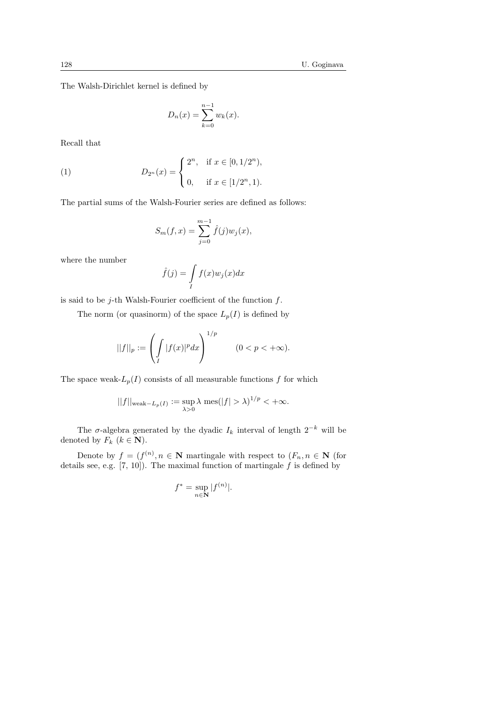The Walsh-Dirichlet kernel is defined by

$$
D_n(x) = \sum_{k=0}^{n-1} w_k(x).
$$

Recall that

(1) 
$$
D_{2^n}(x) = \begin{cases} 2^n, & \text{if } x \in [0, 1/2^n), \\ 0, & \text{if } x \in [1/2^n, 1). \end{cases}
$$

The partial sums of the Walsh-Fourier series are defined as follows:

$$
S_m(f, x) = \sum_{j=0}^{m-1} \hat{f}(j) w_j(x),
$$

where the number

$$
\hat{f}(j) = \int\limits_I f(x)w_j(x)dx
$$

is said to be  $j$ -th Walsh-Fourier coefficient of the function  $f$ .

The norm (or quasinorm) of the space  $L_p(I)$  is defined by

$$
||f||_p := \left(\int_I |f(x)|^p dx\right)^{1/p} \qquad (0 < p < +\infty).
$$

The space weak- $L_p(I)$  consists of all measurable functions f for which

$$
||f||_{\text{weak}-L_p(I)} := \sup_{\lambda > 0} \lambda \text{ mes}(|f| > \lambda)^{1/p} < +\infty.
$$

The  $\sigma$ -algebra generated by the dyadic  $I_k$  interval of length  $2^{-k}$  will be denoted by  $F_k$   $(k \in \mathbb{N})$ .

Denote by  $f = (f^{(n)}, n \in \mathbb{N})$  martingale with respect to  $(F_n, n \in \mathbb{N})$  (for details see, e.g.  $[7, 10]$ ). The maximal function of martingale  $f$  is defined by

$$
f^* = \sup_{n \in \mathbf{N}} |f^{(n)}|.
$$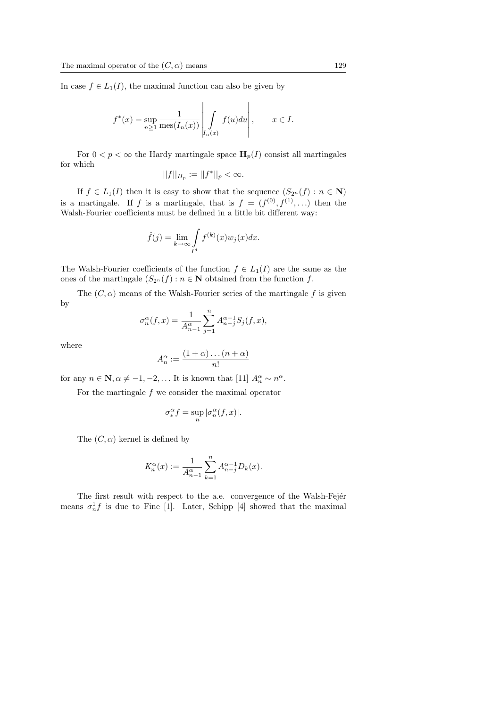In case  $f \in L_1(I)$ , the maximal function can also be given by

$$
f^*(x) = \sup_{n \ge 1} \frac{1}{\text{mes}(I_n(x))} \left| \int\limits_{I_n(x)} f(u) du \right|, \qquad x \in I.
$$

For  $0 < p < \infty$  the Hardy martingale space  $\mathbf{H}_p(I)$  consist all martingales for which

$$
||f||_{H_p} := ||f^*||_p < \infty.
$$

If  $f \in L_1(I)$  then it is easy to show that the sequence  $(S_{2^n}(f) : n \in \mathbb{N})$ is a martingale. If f is a martingale, that is  $f = (f^{(0)}, f^{(1)}, \ldots)$  then the Walsh-Fourier coefficients must be defined in a little bit different way:

$$
\hat{f}(j) = \lim_{k \to \infty} \int_{I^d} f^{(k)}(x) w_j(x) dx.
$$

The Walsh-Fourier coefficients of the function  $f \in L_1(I)$  are the same as the ones of the martingale  $(S_{2^n}(f) : n \in \mathbb{N})$  obtained from the function f.

The  $(C, \alpha)$  means of the Walsh-Fourier series of the martingale f is given by

$$
\sigma_n^{\alpha}(f, x) = \frac{1}{A_{n-1}^{\alpha}} \sum_{j=1}^{n} A_{n-j}^{\alpha-1} S_j(f, x),
$$

where

$$
A_n^{\alpha} := \frac{(1+\alpha)\dots(n+\alpha)}{n!}
$$

for any  $n \in \mathbb{N}, \alpha \neq -1, -2, \dots$  It is known that [11]  $A_n^{\alpha} \sim n^{\alpha}$ .

For the martingale f we consider the maximal operator

$$
\sigma^\alpha_*f=\sup_n|\sigma^\alpha_n(f,x)|.
$$

The  $(C, \alpha)$  kernel is defined by

$$
K_n^{\alpha}(x) := \frac{1}{A_{n-1}^{\alpha}} \sum_{k=1}^n A_{n-j}^{\alpha-1} D_k(x).
$$

The first result with respect to the a.e. convergence of the Walsh-Fejér means  $\sigma_n^1 f$  is due to Fine [1]. Later, Schipp [4] showed that the maximal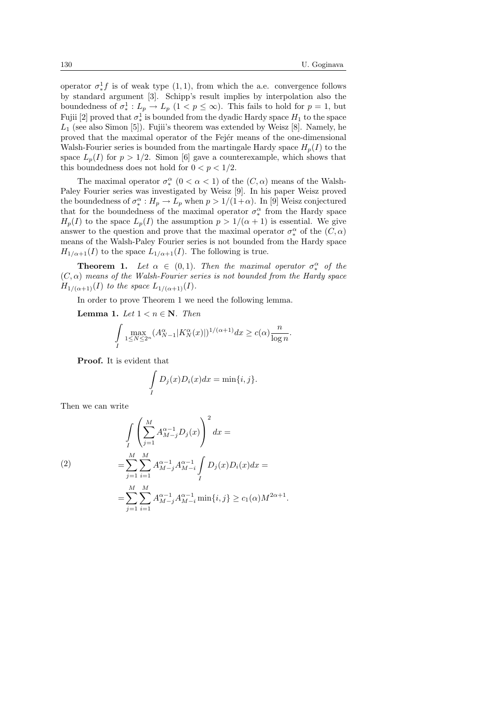operator  $\sigma_*^1 f$  is of weak type  $(1,1)$ , from which the a.e. convergence follows by standard argument [3]. Schipp's result implies by interpolation also the boundedness of  $\sigma^1_*: L_p \to L_p$   $(1 < p \leq \infty)$ . This fails to hold for  $p = 1$ , but Fujii [2] proved that  $\sigma_*^1$  is bounded from the dyadic Hardy space  $H_1$  to the space  $L_1$  (see also Simon [5]). Fujii's theorem was extended by Weisz [8]. Namely, he proved that the maximal operator of the Fejer means of the one-dimensional Walsh-Fourier series is bounded from the martingale Hardy space  $H_p(I)$  to the space  $L_p(I)$  for  $p > 1/2$ . Simon [6] gave a counterexample, which shows that this boundedness does not hold for  $0 < p < 1/2$ .

The maximal operator  $\sigma_*^{\alpha}$  ( $0 < \alpha < 1$ ) of the  $(C, \alpha)$  means of the Walsh-Paley Fourier series was investigated by Weisz [9]. In his paper Weisz proved the boundedness of  $\sigma_*^{\alpha}: H_p \to L_p$  when  $p > 1/(1+\alpha)$ . In [9] Weisz conjectured that for the boundedness of the maximal operator  $\sigma_*^{\alpha}$  from the Hardy space  $H_p(I)$  to the space  $L_p(I)$  the assumption  $p > 1/(\alpha + 1)$  is essential. We give answer to the question and prove that the maximal operator  $\sigma_*^{\alpha}$  of the  $(C, \alpha)$ means of the Walsh-Paley Fourier series is not bounded from the Hardy space  $H_{1/\alpha+1}(I)$  to the space  $L_{1/\alpha+1}(I)$ . The following is true.

**Theorem 1.** Let  $\alpha \in (0,1)$ . Then the maximal operator  $\sigma^{\alpha}_{*}$  of the  $(C, \alpha)$  means of the Walsh-Fourier series is not bounded from the Hardy space  $H_{1/(\alpha+1)}(I)$  to the space  $L_{1/(\alpha+1)}(I)$ .

In order to prove Theorem 1 we need the following lemma.

**Lemma 1.** Let  $1 < n \in \mathbb{N}$ . Then

$$
\int_{I} \max_{1 \leq N \leq 2^n} (A_{N-1}^{\alpha} |K_N^{\alpha}(x)|)^{1/(\alpha+1)} dx \geq c(\alpha) \frac{n}{\log n}.
$$

Proof. It is evident that

$$
\int_{I} D_j(x)D_i(x)dx = \min\{i, j\}.
$$

Then we can write

(2)  
\n
$$
\int_{I} \left( \sum_{j=1}^{M} A_{M-j}^{\alpha-1} D_j(x) \right)^2 dx =
$$
\n
$$
= \sum_{j=1}^{M} \sum_{i=1}^{M} A_{M-j}^{\alpha-1} A_{M-i}^{\alpha-1} \int_{I} D_j(x) D_i(x) dx =
$$
\n
$$
= \sum_{j=1}^{M} \sum_{i=1}^{M} A_{M-j}^{\alpha-1} A_{M-i}^{\alpha-1} \min\{i, j\} \ge c_1(\alpha) M^{2\alpha+1}.
$$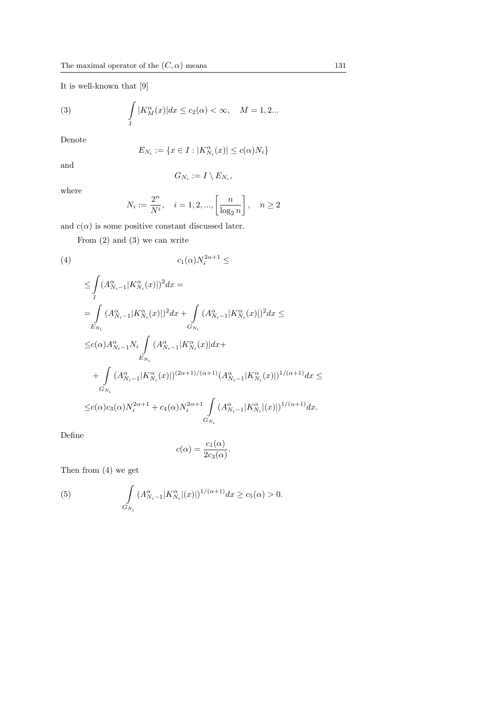It is well-known that [9]

(3) 
$$
\int\limits_{I} |K_M^{\alpha}(x)| dx \le c_2(\alpha) < \infty, \quad M = 1, 2...
$$

Denote

$$
E_{N_i} := \{ x \in I : |K_{N_i}^{\alpha}(x)| \le c(\alpha)N_i \}
$$

and

$$
G_{N_i}:=I\setminus E_{N_i},
$$

where

$$
N_i:=\frac{2^n}{N^i},\quad i=1,2,...,\left[\frac{n}{\log_2 n}\right],\quad n\geq 2
$$

and  $c(\alpha)$  is some positive constant discussed later.

From (2) and (3) we can write

$$
(4) \t\t\t c_1(\alpha)N_i^{2\alpha+1} \leq
$$

$$
\leq \int_{I} (A_{N_{i}-1}^{\alpha}|K_{N_{i}}^{\alpha}(x)|)^{2} dx =
$$
\n
$$
= \int_{E_{N_{i}}} (A_{N_{i}-1}^{\alpha}|K_{N_{i}}^{\alpha}(x)|)^{2} dx + \int_{G_{N_{i}}} (A_{N_{i}-1}^{\alpha}|K_{N_{i}}^{\alpha}(x)|)^{2} dx \leq
$$
\n
$$
\leq c(\alpha) A_{N_{i}-1}^{\alpha} N_{i} \int_{E_{N_{i}}} (A_{N_{i}-1}^{\alpha}|K_{N_{i}}^{\alpha}(x)| dx +
$$
\n
$$
+ \int_{G_{N_{i}}} (A_{N_{i}-1}^{\alpha}|K_{N_{i}}^{\alpha}(x)|)^{(2\alpha+1)/(\alpha+1)} (A_{N_{i}-1}^{\alpha}|K_{N_{i}}^{\alpha}(x)|)^{1/(\alpha+1)} dx \leq
$$
\n
$$
\leq c(\alpha) c_{3}(\alpha) N_{i}^{2\alpha+1} + c_{4}(\alpha) N_{i}^{2\alpha+1} \int_{G_{N_{i}}} (A_{N_{i}-1}^{\alpha}|K_{N_{i}}^{\alpha}|(x)|)^{1/(\alpha+1)} dx.
$$

Define

$$
c(\alpha) = \frac{c_1(\alpha)}{2c_3(\alpha)}.
$$

Then from (4) we get

(5) 
$$
\int_{G_{N_i}} (A_{N_i-1}^{\alpha}|K_{N_i}^{\alpha}|(x)|)^{1/(\alpha+1)} dx \ge c_5(\alpha) > 0.
$$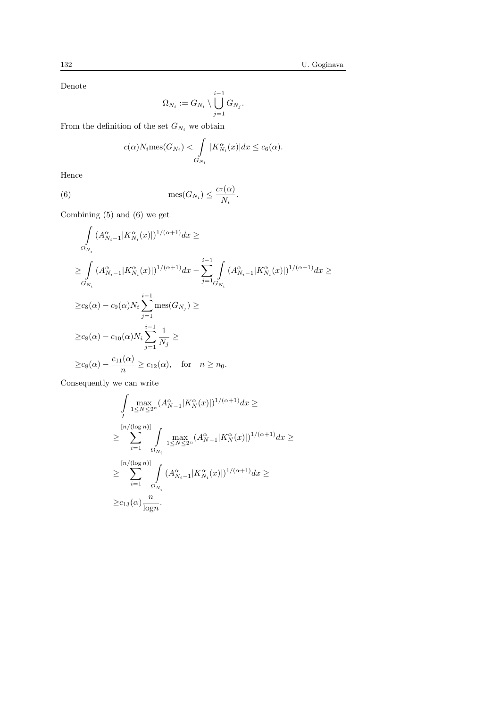Denote

$$
\Omega_{N_i}:=G_{N_i}\setminus\bigcup_{j=1}^{i-1}G_{N_j}.
$$

From the definition of the set  ${\cal G}_{N_i}$  we obtain

$$
c(\alpha)N_i \text{mes}(G_{N_i}) < \int\limits_{G_{N_i}} |K_{N_i}^{\alpha}(x)| dx \le c_6(\alpha).
$$

Hence

(6) 
$$
\text{mes}(G_{N_i}) \leq \frac{c_7(\alpha)}{N_i}.
$$

Combining (5) and (6) we get

$$
\int_{\Omega_{N_i}} (A_{N_i-1}^{\alpha}|K_{N_i}^{\alpha}(x)|)^{1/(\alpha+1)} dx \ge
$$
\n
$$
\geq \int_{G_{N_i}} (A_{N_i-1}^{\alpha}|K_{N_i}^{\alpha}(x)|)^{1/(\alpha+1)} dx - \sum_{j=1}^{i-1} \int_{G_{N_i}} (A_{N_i-1}^{\alpha}|K_{N_i}^{\alpha}(x)|)^{1/(\alpha+1)} dx \ge
$$
\n
$$
\geq c_8(\alpha) - c_9(\alpha)N_i \sum_{j=1}^{i-1} \text{mes}(G_{N_j}) \ge
$$
\n
$$
\geq c_8(\alpha) - c_{10}(\alpha)N_i \sum_{j=1}^{i-1} \frac{1}{N_j} \ge
$$
\n
$$
\geq c_8(\alpha) - \frac{c_{11}(\alpha)}{n} \geq c_{12}(\alpha), \quad \text{for} \quad n \geq n_0.
$$

Consequently we can write

$$
\int_{I} \max_{1 \leq N \leq 2^{n}} (A_{N-1}^{\alpha}|K_{N}^{\alpha}(x)|)^{1/(\alpha+1)} dx \geq
$$
\n
$$
\geq \sum_{i=1}^{\lfloor n/(\log n) \rfloor} \int_{1 \leq N \leq 2^{n}} \max_{1 \leq N \leq 2^{n}} (A_{N-1}^{\alpha}|K_{N}^{\alpha}(x)|)^{1/(\alpha+1)} dx \geq
$$
\n
$$
\geq \sum_{i=1}^{\lfloor n/(\log n) \rfloor} \int_{\Omega_{N_{i}}} (A_{N_{i}-1}^{\alpha}|K_{N_{i}}^{\alpha}(x)|)^{1/(\alpha+1)} dx \geq
$$
\n
$$
\geq c_{13}(\alpha) \frac{n}{\log n}.
$$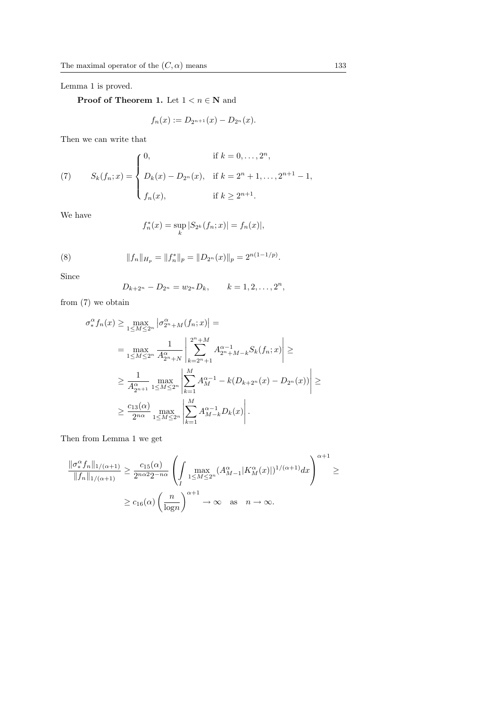Lemma 1 is proved.

**Proof of Theorem 1.** Let  $1 < n \in \mathbb{N}$  and

$$
f_n(x) := D_{2^{n+1}}(x) - D_{2^n}(x).
$$

Then we can write that

(7) 
$$
S_k(f_n; x) = \begin{cases} 0, & \text{if } k = 0, ..., 2^n, \\ D_k(x) - D_{2^n}(x), & \text{if } k = 2^n + 1, ..., 2^{n+1} - 1, \\ f_n(x), & \text{if } k \ge 2^{n+1}. \end{cases}
$$

We have

$$
f_n^*(x) = \sup_k |S_{2^k}(f_n; x)| = f_n(x)|,
$$

(8) 
$$
||f_n||_{H_p} = ||f_n^*||_p = ||D_{2^n}(x)||_p = 2^{n(1-1/p)}.
$$

Since

$$
D_{k+2^n} - D_{2^n} = w_{2^n} D_k, \qquad k = 1, 2, \dots, 2^n,
$$

from (7) we obtain

$$
\sigma_*^{\alpha} f_n(x) \ge \max_{1 \le M \le 2^n} |\sigma_{2^n+M}^{\alpha}(f_n; x)| =
$$
\n
$$
= \max_{1 \le M \le 2^n} \frac{1}{A_{2^n+N}^{\alpha}} \left| \sum_{k=2^n+1}^{2^n+M} A_{2^n+M-k}^{\alpha-1} S_k(f_n; x) \right| \ge
$$
\n
$$
\ge \frac{1}{A_{2n+1}^{\alpha}} \max_{1 \le M \le 2^n} \left| \sum_{k=1}^M A_M^{\alpha-1} - k(D_{k+2^n}(x) - D_{2^n}(x)) \right| \ge
$$
\n
$$
\ge \frac{c_{13}(\alpha)}{2^{n\alpha}} \max_{1 \le M \le 2^n} \left| \sum_{k=1}^M A_{M-k}^{\alpha-1} D_k(x) \right|.
$$

Then from Lemma 1 we get

$$
\frac{\|\sigma_*^{\alpha} f_n\|_{1/(\alpha+1)}}{\|f_n\|_{1/(\alpha+1)}} \ge \frac{c_{15}(\alpha)}{2^{n\alpha 2} 2^{-n\alpha}} \left(\int \max_{1 \le M \le 2^n} (A_{M-1}^{\alpha}|K_M^{\alpha}(x)|)^{1/(\alpha+1)} dx\right)^{\alpha+1} \ge
$$
  

$$
\ge c_{16}(\alpha) \left(\frac{n}{\log n}\right)^{\alpha+1} \to \infty \quad \text{as} \quad n \to \infty.
$$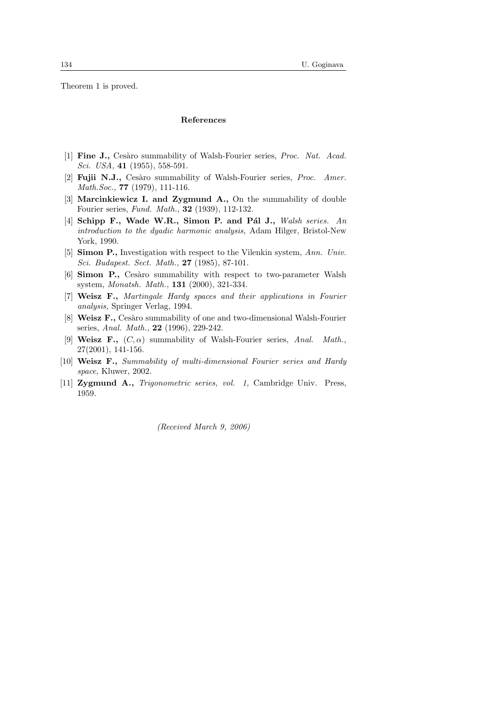Theorem 1 is proved.

## References

- [1] Fine J., Cesàro summability of Walsh-Fourier series, *Proc. Nat. Acad.* Sci. USA, **41** (1955), 558-591.
- [2] **Fujii N.J.,** Cesàro summability of Walsh-Fourier series, *Proc. Amer.* Math.Soc., **77** (1979), 111-116.
- [3] Marcinkiewicz I. and Zygmund A., On the summability of double Fourier series, Fund. Math., 32 (1939), 112-132.
- [4] Schipp F., Wade W.R., Simon P. and Pál J., Walsh series. An introduction to the dyadic harmonic analysis, Adam Hilger, Bristol-New York, 1990.
- [5] Simon P., Investigation with respect to the Vilenkin system, Ann. Univ. Sci. Budapest. Sect. Math., 27 (1985), 87-101.
- [6] Simon P., Cesàro summability with respect to two-parameter Walsh system, Monatsh. Math., 131 (2000), 321-334.
- [7] Weisz F., Martingale Hardy spaces and their applications in Fourier analysis, Springer Verlag, 1994.
- [8] **Weisz F.,** Cesàro summability of one and two-dimensional Walsh-Fourier series, Anal. Math., 22 (1996), 229-242.
- [9] Weisz F.,  $(C, \alpha)$  summability of Walsh-Fourier series, Anal. Math., 27(2001), 141-156.
- [10] Weisz F., Summability of multi-dimensional Fourier series and Hardy space, Kluwer, 2002.
- [11] Zygmund A., Trigonometric series, vol. 1, Cambridge Univ. Press, 1959.

(Received March 9, 2006)